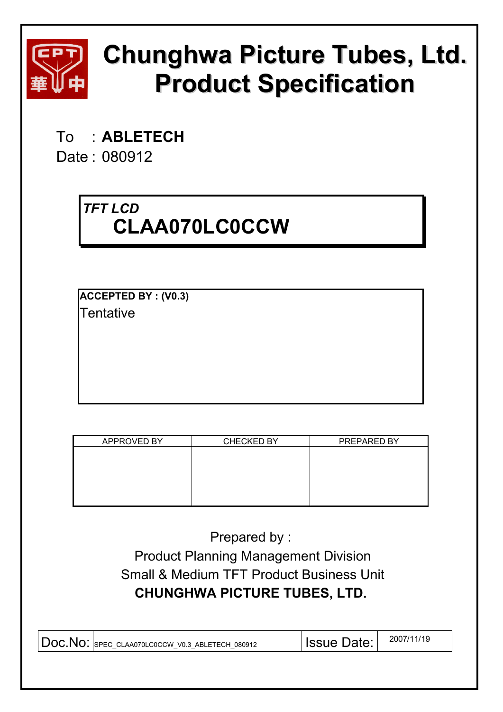

# **Chunghwa Picture Tubes, Ltd. Product Specification**

To : **ABLETECH** 

Date : 080912

# *TFT LCD*  **CLAA070LC0CCW**

**ACCEPTED BY : (V0.3) Tentative** 

| APPROVED BY | <b>CHECKED BY</b> | PREPARED BY |
|-------------|-------------------|-------------|
|             |                   |             |
|             |                   |             |
|             |                   |             |
|             |                   |             |
|             |                   |             |
|             |                   |             |
|             |                   |             |
|             |                   |             |
|             |                   |             |
|             |                   |             |
|             |                   |             |
|             |                   |             |
|             |                   |             |

Prepared by : Product Planning Management Division Small & Medium TFT Product Business Unit **CHUNGHWA PICTURE TUBES, LTD.** 

| $\vert$ DOC. NO: SPEC CLAA070LC0CCW V0.3 ABLETECH 080912 | <b>Issue Date:</b> | 2007/11/19 |
|----------------------------------------------------------|--------------------|------------|
|                                                          |                    |            |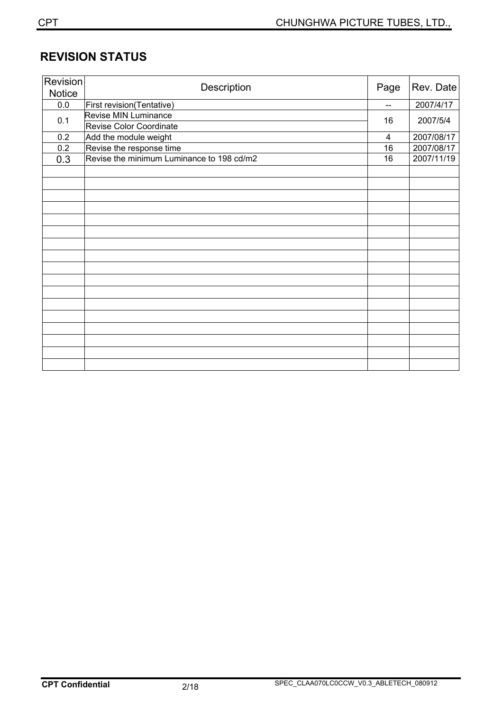# **REVISION STATUS**

| <b>Revision</b><br><b>Notice</b> | Description                                     | Page                     | Rev. Date  |
|----------------------------------|-------------------------------------------------|--------------------------|------------|
| $0.0\,$                          | First revision(Tentative)                       | $\qquad \qquad \qquad -$ | 2007/4/17  |
| 0.1                              | Revise MIN Luminance<br>Revise Color Coordinate | 16                       | 2007/5/4   |
| 0.2                              | Add the module weight                           | 4                        | 2007/08/17 |
| 0.2                              | Revise the response time                        | 16                       | 2007/08/17 |
| 0.3                              | Revise the minimum Luminance to 198 cd/m2       | 16                       | 2007/11/19 |
|                                  |                                                 |                          |            |
|                                  |                                                 |                          |            |
|                                  |                                                 |                          |            |
|                                  |                                                 |                          |            |
|                                  |                                                 |                          |            |
|                                  |                                                 |                          |            |
|                                  |                                                 |                          |            |
|                                  |                                                 |                          |            |
|                                  |                                                 |                          |            |
|                                  |                                                 |                          |            |
|                                  |                                                 |                          |            |
|                                  |                                                 |                          |            |
|                                  |                                                 |                          |            |
|                                  |                                                 |                          |            |
|                                  |                                                 |                          |            |
|                                  |                                                 |                          |            |
|                                  |                                                 |                          |            |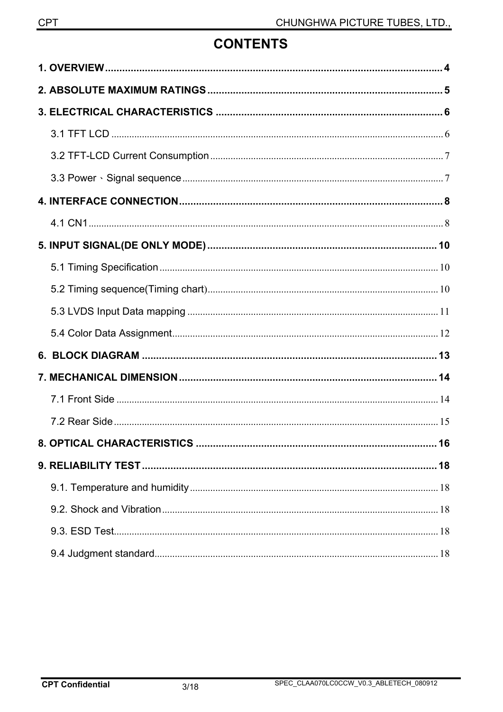# **CONTENTS**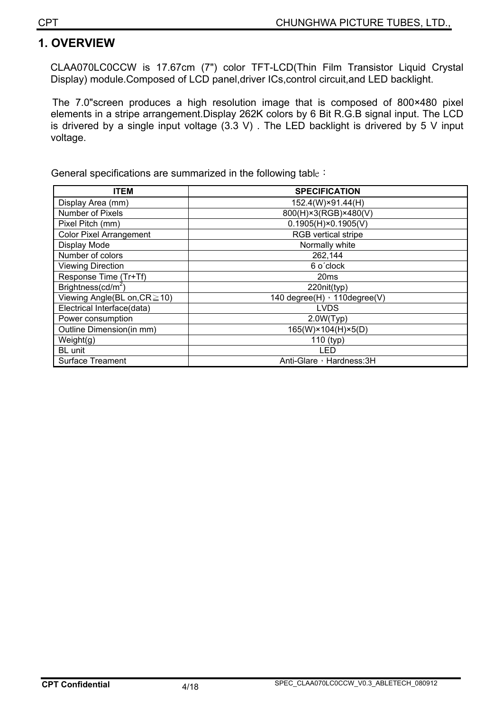### **1. OVERVIEW**

CLAA070LC0CCW is 17.67cm (7") color TFT-LCD(Thin Film Transistor Liquid Crystal Display) module.Composed of LCD panel,driver ICs,control circuit,and LED backlight.

The 7.0"screen produces a high resolution image that is composed of 800×480 pixel elements in a stripe arrangement.Display 262K colors by 6 Bit R.G.B signal input. The LCD is drivered by a single input voltage  $(3.3 \text{ V})$ . The LED backlight is drivered by 5 V input voltage.

General specifications are summarized in the following table :

| <b>ITEM</b>                        | <b>SPECIFICATION</b>         |
|------------------------------------|------------------------------|
| Display Area (mm)                  | 152.4(W)×91.44(H)            |
| Number of Pixels                   | 800(H)×3(RGB)×480(V)         |
| Pixel Pitch (mm)                   | $0.1905(H) \times 0.1905(V)$ |
| <b>Color Pixel Arrangement</b>     | <b>RGB</b> vertical stripe   |
| Display Mode                       | Normally white               |
| Number of colors                   | 262,144                      |
| <b>Viewing Direction</b>           | 6 o'clock                    |
| Response Time (Tr+Tf)              | 20ms                         |
| Brightness(cd/m <sup>2</sup> )     | 220nit(typ)                  |
| Viewing Angle(BL on, $CR \ge 10$ ) | 140 degree(H) , 110degree(V) |
| Electrical Interface(data)         | <b>LVDS</b>                  |
| Power consumption                  | 2.0W(Typ)                    |
| Outline Dimension(in mm)           | 165(W)×104(H)×5(D)           |
| Weight(g)                          | $110$ (typ)                  |
| <b>BL</b> unit                     | LED                          |
| <b>Surface Treament</b>            | Anti-Glare, Hardness: 3H     |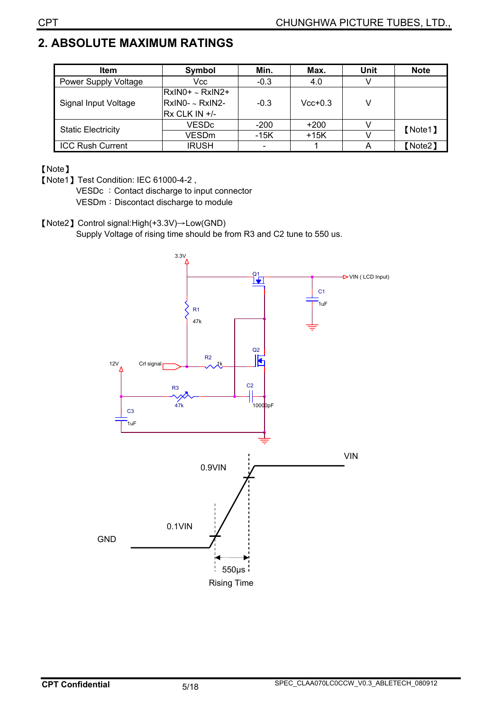# **2. ABSOLUTE MAXIMUM RATINGS**

| <b>Item</b>               | <b>Symbol</b>        | Min.   | Max.      | Unit | <b>Note</b> |
|---------------------------|----------------------|--------|-----------|------|-------------|
| Power Supply Voltage      | Vcc                  | $-0.3$ | 4.0       |      |             |
|                           | RxIN0+ ~ RxIN2+      |        |           |      |             |
| Signal Input Voltage      | RxIN0- ~ RxIN2-      | $-0.3$ | $Vcc+0.3$ |      |             |
|                           | <b>Rx CLK IN +/-</b> |        |           |      |             |
| <b>Static Electricity</b> | <b>VESDc</b>         | $-200$ | $+200$    |      | [Note1]     |
|                           | <b>VESDm</b>         | -15K   | $+15K$    |      |             |
| <b>ICC Rush Current</b>   | <b>IRUSH</b>         |        |           |      | 【Note2】     |

#### [Note]

[Note1] Test Condition: IEC 61000-4-2,

VESDc : Contact discharge to input connector

VESDm: Discontact discharge to module

[Note2] Control signal:High(+3.3V) $\rightarrow$ Low(GND)

Supply Voltage of rising time should be from R3 and C2 tune to 550 us.

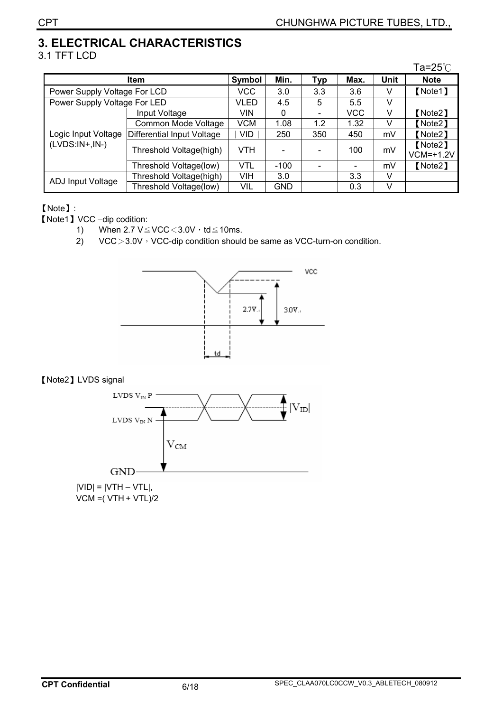# **3. ELECTRICAL CHARACTERISTICS**

#### 3.1 TFT LCD

|                              |                            |            |            |     |            |      | Ta=25 $\degree$ C      |
|------------------------------|----------------------------|------------|------------|-----|------------|------|------------------------|
|                              | Item                       | Symbol     | Min.       | Typ | Max.       | Unit | <b>Note</b>            |
| Power Supply Voltage For LCD |                            | <b>VCC</b> | 3.0        | 3.3 | 3.6        | V    | [Note1]                |
| Power Supply Voltage For LED |                            | VLED       | 4.5        | 5   | 5.5        | v    |                        |
|                              | Input Voltage              | VIN        | 0          |     | <b>VCC</b> | v    | [Note2]                |
|                              | Common Mode Voltage        | <b>VCM</b> | 1.08       | 1.2 | 1.32       | V    | [Note2]                |
| Logic Input Voltage          | Differential Input Voltage | <b>VID</b> | 250        | 350 | 450        | mV   | [Note2]                |
| $(LVDS:IN+,IN-)$             | Threshold Voltage(high)    | <b>VTH</b> |            |     | 100        | mV   | [Note2]<br>$VCM=+1.2V$ |
|                              | Threshold Voltage(low)     | <b>VTL</b> | $-100$     |     |            | mV   | [Note2]                |
| ADJ Input Voltage            | Threshold Voltage(high)    | VIH        | 3.0        |     | 3.3        | v    |                        |
|                              | Threshold Voltage(low)     | VIL        | <b>GND</b> |     | 0.3        | v    |                        |

#### [Note]:

**[Note1] VCC –dip codition:** 

- 1) When  $2.7 \text{ V} \leq \text{VCC} \leq 3.0 \text{ V} \cdot \text{td} \leq 10 \text{ ms}.$
- 2) VCC $>3.0V$ <sup>,</sup> VCC-dip condition should be same as VCC-turn-on condition.



#### [Note2] LVDS signal

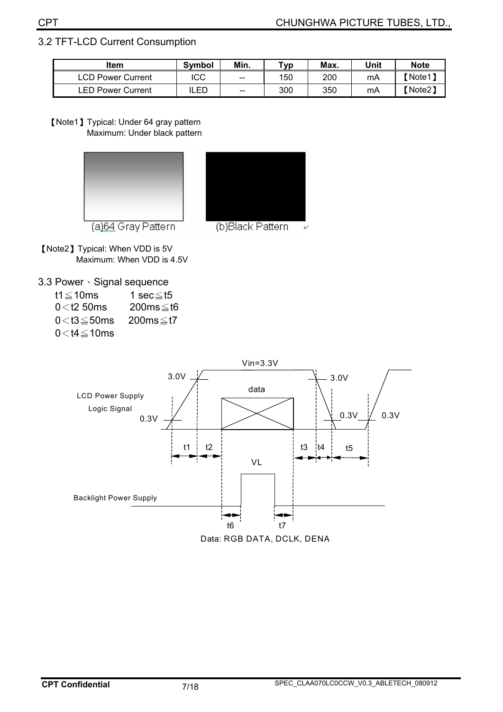#### 3.2 TFT-LCD Current Consumption

| ltem                         | Min.<br>Svmbol |       |     |     | Unit | <b>Note</b>  |
|------------------------------|----------------|-------|-----|-----|------|--------------|
| ∟CD⊺<br><b>Power Current</b> | ICC            | $- -$ | 150 | 200 | mA   | <b>Note1</b> |
| <b>LED Power Current</b>     | LED            | $-$   | 300 | 350 | mA   | 【Note2】      |

[Note1] Typical: Under 64 gray pattern Maximum: Under black pattern





(b)Black Pattern

[Note2] Typical: When VDD is 5V Maximum: When VDD is 4.5V

3.3 Power · Signal sequence

| t1 $\leq$ 10ms      | 1 sec $\leq$ t5 |
|---------------------|-----------------|
| $0<$ t2 50 ms       | 200ms≤t6        |
| $0<$ t3 $\leq$ 50ms | 200ms≤t7        |
| $0<$ t4 $\leq$ 10ms |                 |

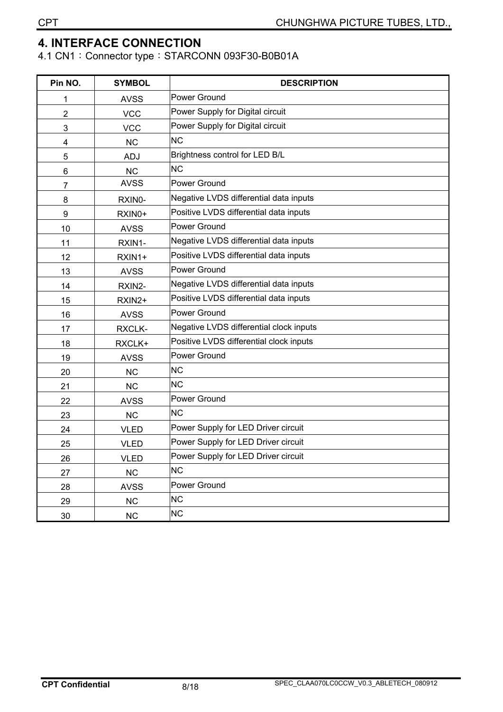### **4. INTERFACE CONNECTION**

4.1 CN1: Connector type: STARCONN 093F30-B0B01A

| Pin NO.          | <b>SYMBOL</b> | <b>DESCRIPTION</b>                      |
|------------------|---------------|-----------------------------------------|
| 1                | <b>AVSS</b>   | <b>Power Ground</b>                     |
| 2                | <b>VCC</b>    | Power Supply for Digital circuit        |
| 3                | <b>VCC</b>    | Power Supply for Digital circuit        |
| 4                | <b>NC</b>     | <b>NC</b>                               |
| 5                | <b>ADJ</b>    | Brightness control for LED B/L          |
| 6                | <b>NC</b>     | <b>NC</b>                               |
| 7                | <b>AVSS</b>   | Power Ground                            |
| 8                | RXIN0-        | Negative LVDS differential data inputs  |
| $\boldsymbol{9}$ | RXIN0+        | Positive LVDS differential data inputs  |
| 10               | <b>AVSS</b>   | Power Ground                            |
| 11               | RXIN1-        | Negative LVDS differential data inputs  |
| 12               | RXIN1+        | Positive LVDS differential data inputs  |
| 13               | <b>AVSS</b>   | Power Ground                            |
| 14               | RXIN2-        | Negative LVDS differential data inputs  |
| 15               | RXIN2+        | Positive LVDS differential data inputs  |
| 16               | <b>AVSS</b>   | Power Ground                            |
| 17               | RXCLK-        | Negative LVDS differential clock inputs |
| 18               | RXCLK+        | Positive LVDS differential clock inputs |
| 19               | <b>AVSS</b>   | Power Ground                            |
| 20               | <b>NC</b>     | <b>NC</b>                               |
| 21               | <b>NC</b>     | <b>NC</b>                               |
| 22               | <b>AVSS</b>   | <b>Power Ground</b>                     |
| 23               | <b>NC</b>     | <b>NC</b>                               |
| 24               | <b>VLED</b>   | Power Supply for LED Driver circuit     |
| 25               | <b>VLED</b>   | Power Supply for LED Driver circuit     |
| 26               | <b>VLED</b>   | Power Supply for LED Driver circuit     |
| 27               | NC            | <b>NC</b>                               |
| 28               | <b>AVSS</b>   | Power Ground                            |
| 29               | NC            | <b>NC</b>                               |
| 30               | NC            | <b>NC</b>                               |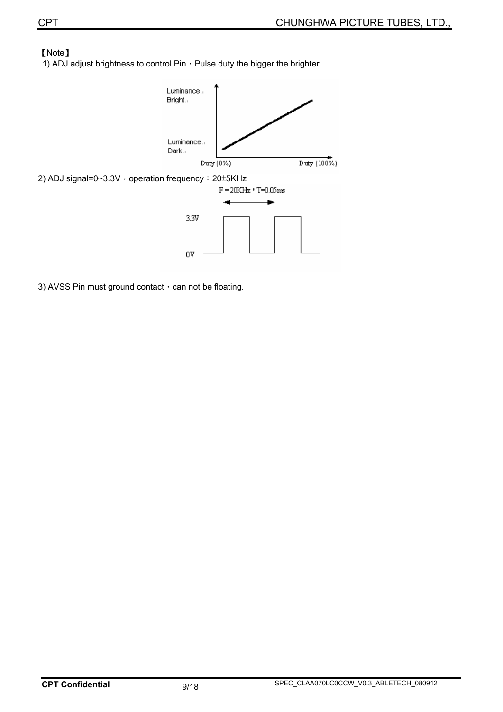#### [Note]

1).ADJ adjust brightness to control Pin  $\cdot$  Pulse duty the bigger the brighter.



3) AVSS Pin must ground contact, can not be floating.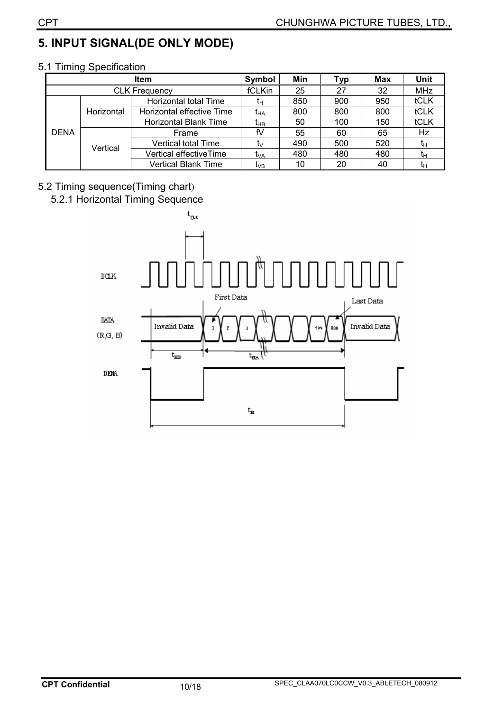# **5. INPUT SIGNAL(DE ONLY MODE)**

|             |            | <b>Item</b>                  | Symbol          | Min | Тур | <b>Max</b> | <b>Unit</b> |
|-------------|------------|------------------------------|-----------------|-----|-----|------------|-------------|
|             |            | <b>CLK Frequency</b>         | fCLKin          | 25  | 27  | 32         | <b>MHz</b>  |
|             |            | Horizontal total Time        | īн              | 850 | 900 | 950        | tCLK        |
|             | Horizontal | Horizontal effective Time    | t <sub>HA</sub> | 800 | 800 | 800        | tCLK        |
|             |            | <b>Horizontal Blank Time</b> | t <sub>нв</sub> | 50  | 100 | 150        | tCLK        |
| <b>DENA</b> |            | Frame                        | fV              | 55  | 60  | 65         | Hz          |
|             | Vertical   | <b>Vertical total Time</b>   | tv              | 490 | 500 | 520        | tн          |
|             |            | Vertical effectiveTime       | t <sub>VA</sub> | 480 | 480 | 480        | tн          |
|             |            | <b>Vertical Blank Time</b>   | t <sub>∨B</sub> | 10  | 20  | 40         | īн          |

#### 5.1 Timing Specification

#### 5.2 Timing sequence(Timing chart)

# 5.2.1 Horizontal Timing Sequence

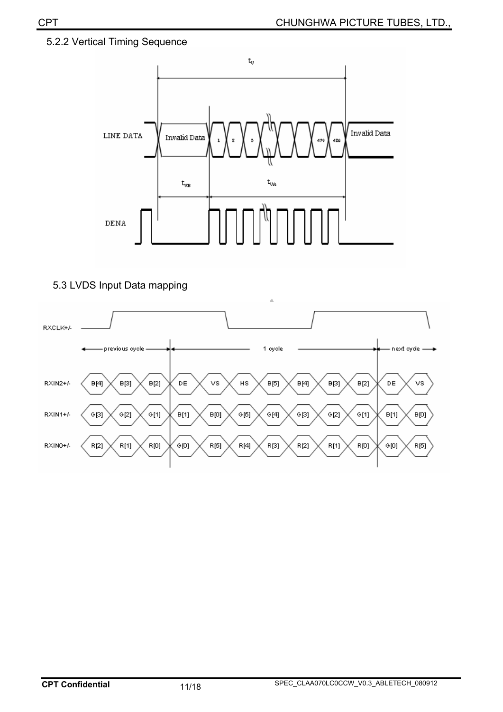#### 5.2.2 Vertical Timing Sequence



5.3 LVDS Input Data mapping

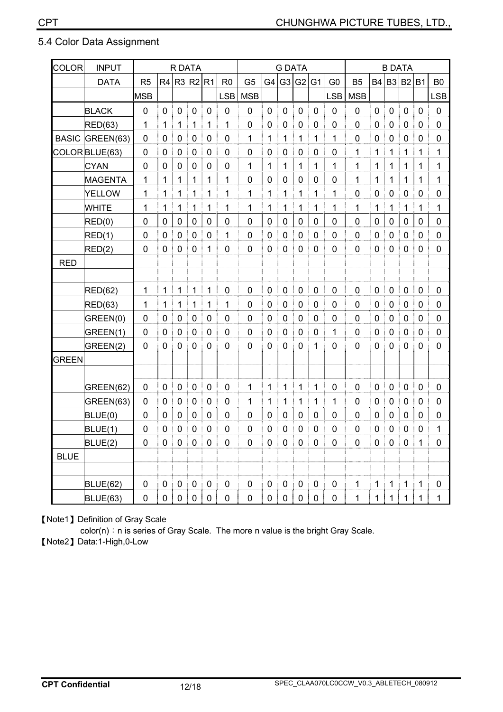#### 5.4 Color Data Assignment

| COLOR <sup></sup> | <b>INPUT</b>    | R DATA         |                  |              |             | <b>G DATA</b>    |                |                |                |                  |                | <b>B DATA</b>    |                |                |                  |                  |                  |              |                |
|-------------------|-----------------|----------------|------------------|--------------|-------------|------------------|----------------|----------------|----------------|------------------|----------------|------------------|----------------|----------------|------------------|------------------|------------------|--------------|----------------|
|                   | <b>DATA</b>     | R <sub>5</sub> | R4               | R3 R2        |             | R1               | R <sub>0</sub> | G <sub>5</sub> | G4             | G <sub>3</sub>   | G <sub>2</sub> | G <sub>1</sub>   | G <sub>0</sub> | <b>B5</b>      | <b>B4</b>        | B3 B2            |                  | <b>B1</b>    | B <sub>0</sub> |
|                   |                 | <b>MSB</b>     |                  |              |             |                  | <b>LSB</b>     | <b>MSB</b>     |                |                  |                |                  | <b>LSB</b>     | <b>MSB</b>     |                  |                  |                  |              | <b>LSB</b>     |
|                   | <b>BLACK</b>    | 0              | 0                | 0            | 0           | 0                | $\mathbf 0$    | 0              | $\mathbf 0$    | 0                | $\mathbf 0$    | $\mathbf 0$      | $\mathbf 0$    | $\mathbf 0$    | $\mathbf 0$      | 0                | 0                | 0            | $\pmb{0}$      |
|                   | RED(63)         | 1              | 1                | 1            | 1           | 1                | 1              | 0              | 0              | 0                | 0              | 0                | 0              | $\mathbf 0$    | 0                | 0                | 0                | 0            | 0              |
|                   | BASIC GREEN(63) | $\mathbf 0$    | $\overline{0}$   | 0            | 0           | 0                | $\mathbf 0$    | 1              | 1              | 1                | $\mathbf 1$    | 1                | 1              | $\overline{0}$ | $\overline{0}$   | 0                | $\mathbf 0$      | 0            | $\mathbf 0$    |
|                   | COLOR BLUE(63)  | 0              | 0                | 0            | 0           | 0                | 0              | 0              | $\mathbf 0$    | 0                | 0              | 0                | $\mathbf 0$    | 1              | 1                | 1                | 1                | 1            | 1              |
|                   | <b>CYAN</b>     | 0              | 0                | 0            | 0           | 0                | $\mathbf 0$    | 1              | 1              | 1                | 1              | 1                | 1              | 1              | 1                | 1                | 1                | 1            | 1              |
|                   | <b>MAGENTA</b>  | 1              | 1                | 1            | 1           | 1                | 1              | $\mathbf 0$    | $\overline{0}$ | $\mathbf 0$      | $\mathbf 0$    | $\mathbf 0$      | $\overline{0}$ | 1              | 1                | 1                | 1                | 1            | 1              |
|                   | YELLOW          | 1              | 1                | 1            | 1           | 1                | 1              | 1              | 1              | 1                | 1              | 1                | 1              | $\mathbf 0$    | 0                | 0                | 0                | 0            | $\mathbf 0$    |
|                   | <b>WHITE</b>    | 1              | 1                | 1            | 1           | 1                | 1              | 1              | 1              | 1                | 1              | 1                | 1              | 1              | 1                | 1                | 1                | 1            | 1              |
|                   | RED(0)          | $\mathbf 0$    | 0                | 0            | 0           | 0                | $\mathbf 0$    | $\mathbf 0$    | 0              | 0                | 0              | 0                | 0              | 0              | 0                | 0                | 0                | 0            | 0              |
|                   | RED(1)          | 0              | 0                | 0            | $\mathbf 0$ | 0                | 1              | $\mathbf 0$    | $\mathbf 0$    | 0                | $\mathbf 0$    | $\mathbf 0$      | 0              | $\overline{0}$ | $\mathbf 0$      | $\mathbf 0$      | $\mathbf 0$      | 0            | $\pmb{0}$      |
|                   | RED(2)          | 0              | 0                | 0            | 0           | 1                | $\mathbf 0$    | $\mathbf 0$    | $\mathbf 0$    | 0                | $\overline{0}$ | 0                | $\overline{0}$ | 0              | 0                | 0                | 0                | 0            | $\mathbf 0$    |
| <b>RED</b>        |                 |                |                  |              |             |                  |                |                |                |                  |                |                  |                |                |                  |                  |                  |              |                |
|                   |                 |                |                  |              |             |                  |                |                |                |                  |                |                  |                |                |                  |                  |                  |              |                |
|                   | <b>RED(62)</b>  | 1              | 1                | $\mathbf{1}$ | 1           | 1                | $\mathbf 0$    | $\mathbf 0$    | $\mathbf 0$    | $\boldsymbol{0}$ | $\mathbf 0$    | $\mathbf 0$      | 0              | $\mathbf 0$    | $\mathbf 0$      | $\boldsymbol{0}$ | $\mathbf 0$      | 0            | $\pmb{0}$      |
|                   | RED(63)         | 1              | 1                | 1            | 1           | 1                | 1              | 0              | 0              | 0                | 0              | 0                | $\mathbf 0$    | 0              | 0                | 0                | 0                | 0            | $\pmb{0}$      |
|                   | GREEN(0)        | 0              | 0                | 0            | 0           | 0                | 0              | 0              | 0              | 0                | 0              | 0                | 0              | 0              | 0                | 0                | 0                | 0            | 0              |
|                   | GREEN(1)        | $\mathbf 0$    | 0                | $\mathbf 0$  | $\mathbf 0$ | $\mathbf 0$      | $\mathbf 0$    | $\mathbf 0$    | 0              | $\mathbf 0$      | $\mathbf 0$    | $\mathbf 0$      | 1              | $\overline{0}$ | $\mathbf 0$      | $\mathbf 0$      | $\mathbf 0$      | 0            | $\mathbf 0$    |
|                   | GREEN(2)        | 0              | $\overline{0}$   | 0            | 0           | 0                | $\mathbf 0$    | $\mathbf 0$    | $\mathbf 0$    | 0                | $\overline{0}$ | 1                | 0              | 0              | $\mathbf 0$      | 0                | $\mathbf 0$      | 0            | $\mathbf 0$    |
| <b>GREEN</b>      |                 |                |                  |              |             |                  |                |                |                |                  |                |                  |                |                |                  |                  |                  |              |                |
|                   |                 |                |                  |              |             |                  |                |                |                |                  |                |                  |                |                |                  |                  |                  |              |                |
|                   | GREEN(62)       | 0              | 0                | $\mathbf 0$  | $\mathbf 0$ | 0                | $\mathbf 0$    | 1              | 1              | 1                | 1              | 1                | $\overline{0}$ | $\overline{0}$ | $\mathbf 0$      | 0                | $\mathbf 0$      | 0            | $\mathbf 0$    |
|                   | GREEN(63)       | 0              | 0                | 0            | 0           | 0                | 0              | 1              | 1              | 1                | 1              | 1                | 1              | 0              | 0                | 0                | 0                | 0            | $\pmb{0}$      |
|                   | BLUE(0)         | 0              | 0                | 0            | 0           | 0                | 0              | 0              | 0              | 0                | 0              | 0                | 0              | $\mathbf 0$    | $\mathbf 0$      | 0                | 0                | 0            | 0              |
|                   | BLUE(1)         | 0              | 0                | 0            | 0           | 0                | $\mathbf 0$    | 0              | 0              | 0                | 0              | 0                | 0              | 0              | 0                | 0                | $\mathbf 0$      | 0            | 1              |
|                   | BLUE(2)         | $\mathbf 0$    | 0                | $\pmb{0}$    | $\mathbf 0$ | $\boldsymbol{0}$ | 0              | $\mathbf 0$    | $\mathbf 0$    | $\boldsymbol{0}$ | $\mathbf 0$    | $\boldsymbol{0}$ | $\pmb{0}$      | 0              | $\boldsymbol{0}$ | $\boldsymbol{0}$ | $\boldsymbol{0}$ | 1            | 0              |
| <b>BLUE</b>       |                 |                |                  |              |             |                  |                |                |                |                  |                |                  |                |                |                  |                  |                  |              |                |
|                   |                 |                |                  |              |             |                  |                |                |                |                  |                |                  |                |                |                  |                  |                  |              |                |
|                   | <b>BLUE(62)</b> | $\pmb{0}$      | $\pmb{0}$        | $\pmb{0}$    | $\pmb{0}$   | $\pmb{0}$        | $\pmb{0}$      | $\pmb{0}$      | $\pmb{0}$      | $\pmb{0}$        | $\pmb{0}$      | $\pmb{0}$        | $\pmb{0}$      | 1              | $\mathbf{1}$     | $\mathbf 1$      | $\mathbf 1$      | $\mathbf{1}$ | $\pmb{0}$      |
|                   | <b>BLUE(63)</b> | $\pmb{0}$      | $\mathbf 0$<br>÷ | $\pmb{0}$    | $\pmb{0}$   | $\mathbf 0$      | 0              | $\pmb{0}$      | $\pmb{0}$      | $\mathbf 0$      | $\pmb{0}$      | $\mathbf 0$      | $\pmb{0}$      | 1              | $\mathbf 1$      | $\mathbf 1$      | $\mathbf{1}$     | $\mathbf{1}$ | 1              |

[Note1] Definition of Gray Scale

color(n): n is series of Gray Scale. The more n value is the bright Gray Scale.

[Note2] Data:1-High,0-Low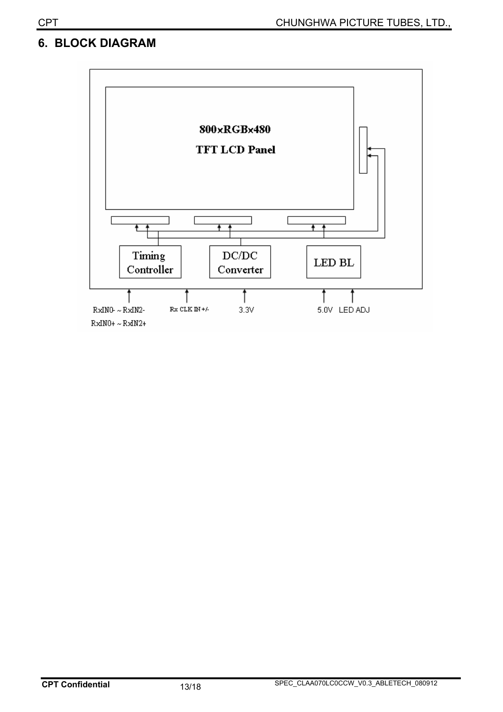# **6. BLOCK DIAGRAM**

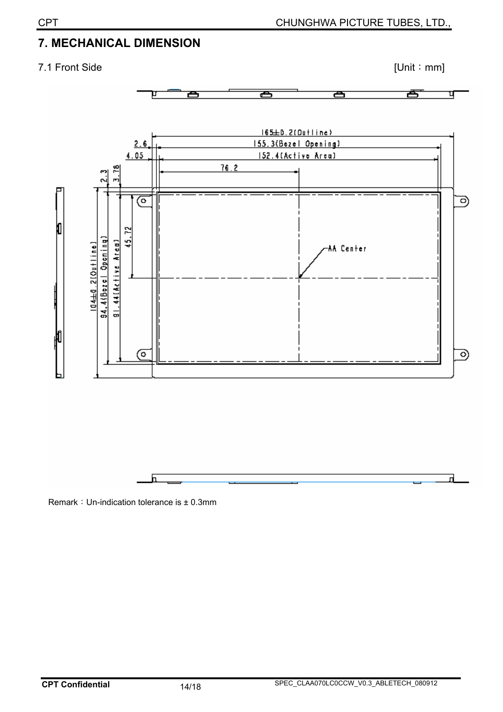# **7. MECHANICAL DIMENSION**

### 7.1 Front Side [Unit : mm]





Remark: Un-indication tolerance is  $\pm$  0.3mm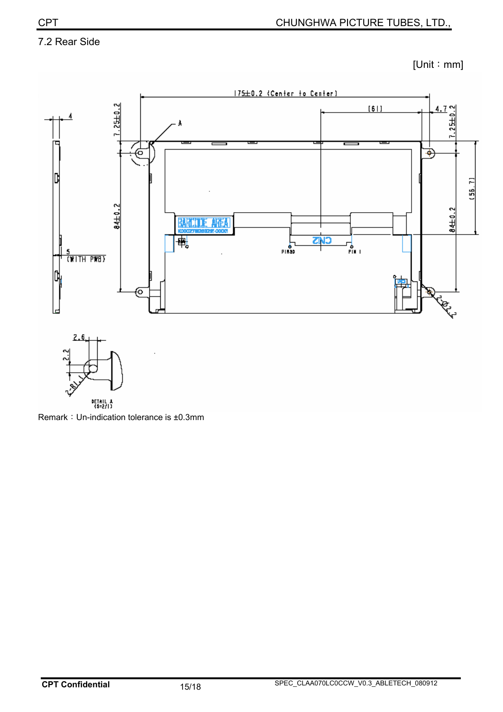#### 7.2 Rear Side

 $[Unit : mm]$ 



DETAIL A<br>(\$=2/1) Remark: Un-indication tolerance is ±0.3mm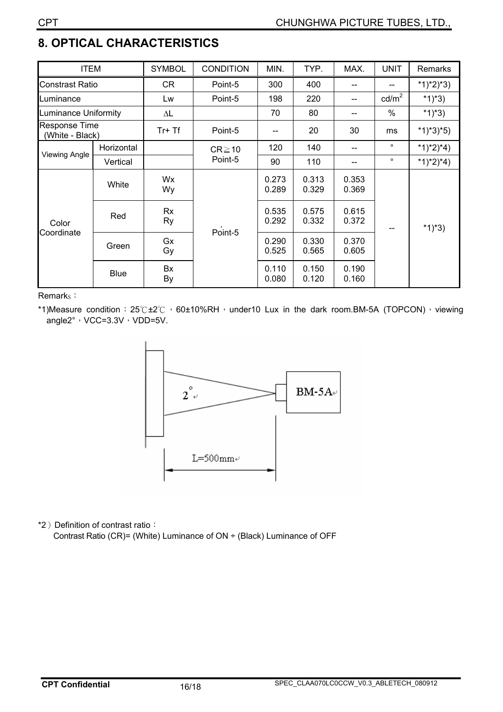# **8. OPTICAL CHARACTERISTICS**

| <b>ITEM</b>                             |             | <b>SYMBOL</b> | <b>CONDITION</b>       | MIN.           | TYP.           | MAX.           | <b>UNIT</b>     | Remarks     |
|-----------------------------------------|-------------|---------------|------------------------|----------------|----------------|----------------|-----------------|-------------|
| <b>Constrast Ratio</b>                  |             | CR            | Point-5                | 300            | 400            |                |                 | $*1)*2)*3)$ |
| Luminance                               |             | Lw            | Point-5                | 198            | 220            | --             | $\text{cd/m}^2$ | $*1)*3)$    |
| Luminance Uniformity                    |             | ΔL            |                        | 70             | 80             | --             | %               | $*1)*3)$    |
| <b>Response Time</b><br>(White - Black) |             | Tr+ Tf        | Point-5                |                | 20             | 30             | ms              | $*1)*3*5)$  |
| Viewing Angle                           | Horizontal  |               | $CR \ge 10$<br>Point-5 | 120            | 140            | --             | $\circ$         | $*1)*2)*4)$ |
|                                         | Vertical    |               |                        | 90             | 110            | --             | $\circ$         | $*1)*2)*4)$ |
| Color<br>Coordinate                     | White       | Wx<br>Wy      | Point-5                | 0.273<br>0.289 | 0.313<br>0.329 | 0.353<br>0.369 |                 | $*1)*3)$    |
|                                         | Red         | Rx<br>Ry      |                        | 0.535<br>0.292 | 0.575<br>0.332 | 0.615<br>0.372 |                 |             |
|                                         | Green       | Gx<br>Gy      |                        | 0.290<br>0.525 | 0.330<br>0.565 | 0.370<br>0.605 |                 |             |
|                                         | <b>Blue</b> | Bx<br>By      |                        | 0.110<br>0.080 | 0.150<br>0.120 | 0.190<br>0.160 |                 |             |

Remark<sub>s</sub>:

\*1)Measure condition:  $25^\circ C \pm 2^\circ C$ , 60±10%RH, under10 Lux in the dark room.BM-5A (TOPCON), viewing angle $2^\circ \cdot \text{VCC}=3.3\text{V} \cdot \text{VDD}=5\text{V}$ .



\*2) Definition of contrast ratio:

Contrast Ratio (CR)= (White) Luminance of ON ÷ (Black) Luminance of OFF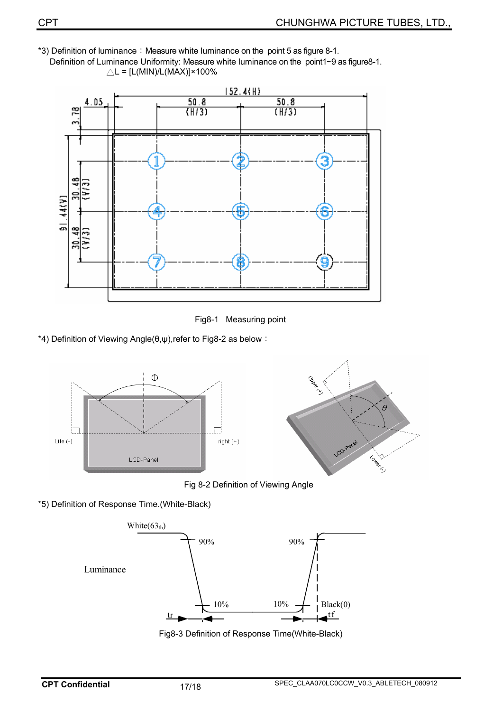\*3) Definition of luminance: Measure white luminance on the point 5 as figure 8-1. Definition of Luminance Uniformity: Measure white luminance on the point1~9 as figure8-1.  $\triangle$ L = [L(MIN)/L(MAX)]×100%



Fig8-1 Measuring point

\*4) Definition of Viewing Angle( $\theta, \psi$ ),refer to Fig8-2 as below :



Fig 8-2 Definition of Viewing Angle

\*5) Definition of Response Time.(White-Black)



Fig8-3 Definition of Response Time(White-Black)